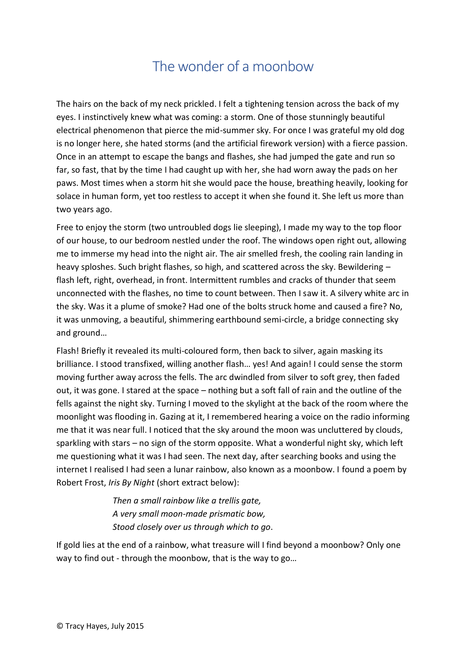## The wonder of a moonbow

The hairs on the back of my neck prickled. I felt a tightening tension across the back of my eyes. I instinctively knew what was coming: a storm. One of those stunningly beautiful electrical phenomenon that pierce the mid-summer sky. For once I was grateful my old dog is no longer here, she hated storms (and the artificial firework version) with a fierce passion. Once in an attempt to escape the bangs and flashes, she had jumped the gate and run so far, so fast, that by the time I had caught up with her, she had worn away the pads on her paws. Most times when a storm hit she would pace the house, breathing heavily, looking for solace in human form, yet too restless to accept it when she found it. She left us more than two years ago.

Free to enjoy the storm (two untroubled dogs lie sleeping), I made my way to the top floor of our house, to our bedroom nestled under the roof. The windows open right out, allowing me to immerse my head into the night air. The air smelled fresh, the cooling rain landing in heavy sploshes. Such bright flashes, so high, and scattered across the sky. Bewildering – flash left, right, overhead, in front. Intermittent rumbles and cracks of thunder that seem unconnected with the flashes, no time to count between. Then I saw it. A silvery white arc in the sky. Was it a plume of smoke? Had one of the bolts struck home and caused a fire? No, it was unmoving, a beautiful, shimmering earthbound semi-circle, a bridge connecting sky and ground…

Flash! Briefly it revealed its multi-coloured form, then back to silver, again masking its brilliance. I stood transfixed, willing another flash… yes! And again! I could sense the storm moving further away across the fells. The arc dwindled from silver to soft grey, then faded out, it was gone. I stared at the space – nothing but a soft fall of rain and the outline of the fells against the night sky. Turning I moved to the skylight at the back of the room where the moonlight was flooding in. Gazing at it, I remembered hearing a voice on the radio informing me that it was near full. I noticed that the sky around the moon was uncluttered by clouds, sparkling with stars – no sign of the storm opposite. What a wonderful night sky, which left me questioning what it was I had seen. The next day, after searching books and using the internet I realised I had seen a lunar rainbow, also known as a moonbow. I found a poem by Robert Frost, *Iris By Night* (short extract below):

> *Then a small rainbow like a trellis gate, A very small moon-made prismatic bow, Stood closely over us through which to go*.

If gold lies at the end of a rainbow, what treasure will I find beyond a moonbow? Only one way to find out - through the moonbow, that is the way to go…